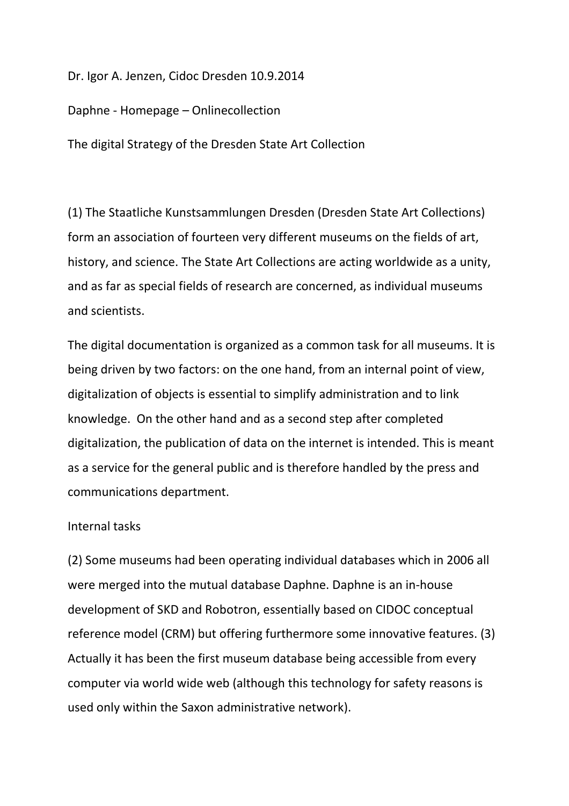Dr. Igor A. Jenzen, Cidoc Dresden 10.9.2014

Daphne - Homepage – Onlinecollection

The digital Strategy of the Dresden State Art Collection

(1) The Staatliche Kunstsammlungen Dresden (Dresden State Art Collections) form an association of fourteen very different museums on the fields of art, history, and science. The State Art Collections are acting worldwide as a unity, and as far as special fields of research are concerned, as individual museums and scientists.

The digital documentation is organized as a common task for all museums. It is being driven by two factors: on the one hand, from an internal point of view, digitalization of objects is essential to simplify administration and to link knowledge. On the other hand and as a second step after completed digitalization, the publication of data on the internet is intended. This is meant as a service for the general public and is therefore handled by the press and communications department.

## Internal tasks

(2) Some museums had been operating individual databases which in 2006 all were merged into the mutual database Daphne. Daphne is an in-house development of SKD and Robotron, essentially based on CIDOC conceptual reference model (CRM) but offering furthermore some innovative features. (3) Actually it has been the first museum database being accessible from every computer via world wide web (although this technology for safety reasons is used only within the Saxon administrative network).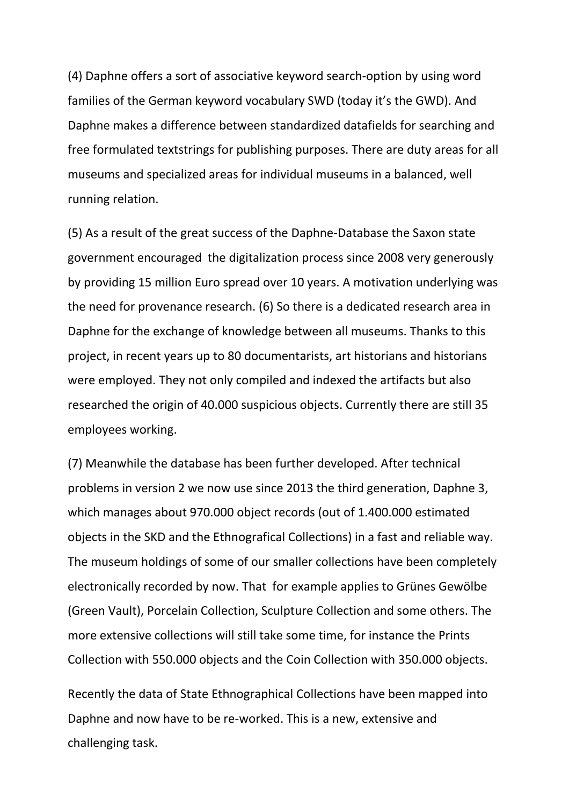(4) Daphne offers a sort of associative keyword search-option by using word families of the German keyword vocabulary SWD (today it's the GWD). And Daphne makes a difference between standardized datafields for searching and free formulated textstrings for publishing purposes. There are duty areas for all museums and specialized areas for individual museums in a balanced, well running relation.

(5) As a result of the great success of the Daphne-Database the Saxon state government encouraged the digitalization process since 2008 very generously by providing 15 million Euro spread over 10 years. A motivation underlying was the need for provenance research. (6) So there is a dedicated research area in Daphne for the exchange of knowledge between all museums. Thanks to this project, in recent years up to 80 documentarists, art historians and historians were employed. They not only compiled and indexed the artifacts but also researched the origin of 40.000 suspicious objects. Currently there are still 35 employees working.

(7) Meanwhile the database has been further developed. After technical problems in version 2 we now use since 2013 the third generation, Daphne 3, which manages about 970.000 object records (out of 1.400.000 estimated objects in the SKD and the Ethnografical Collections) in a fast and reliable way. The museum holdings of some of our smaller collections have been completely electronically recorded by now. That for example applies to Grünes Gewölbe (Green Vault), Porcelain Collection, Sculpture Collection and some others. The more extensive collections will still take some time, for instance the Prints Collection with 550.000 objects and the Coin Collection with 350.000 objects.

Recently the data of State Ethnographical Collections have been mapped into Daphne and now have to be re-worked. This is a new, extensive and challenging task.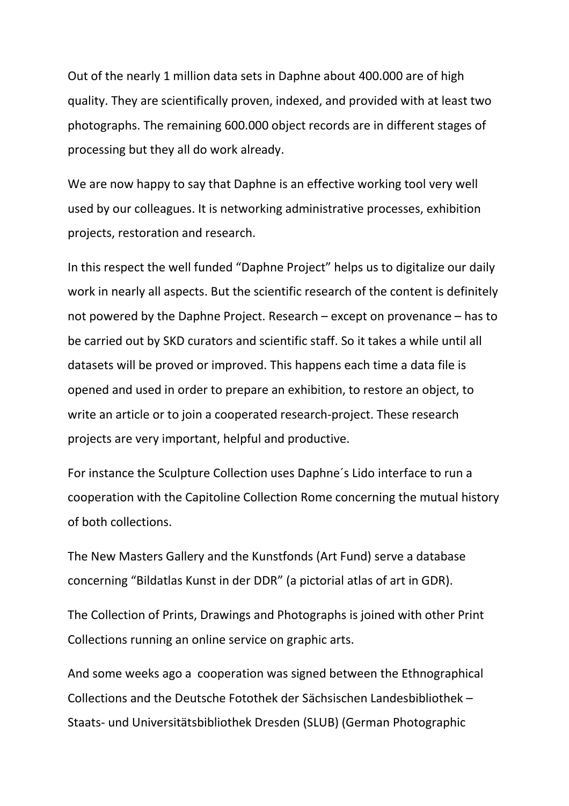Out of the nearly 1 million data sets in Daphne about 400.000 are of high quality. They are scientifically proven, indexed, and provided with at least two photographs. The remaining 600.000 object records are in different stages of processing but they all do work already.

We are now happy to say that Daphne is an effective working tool very well used by our colleagues. It is networking administrative processes, exhibition projects, restoration and research.

In this respect the well funded "Daphne Project" helps us to digitalize our daily work in nearly all aspects. But the scientific research of the content is definitely not powered by the Daphne Project. Research – except on provenance – has to be carried out by SKD curators and scientific staff. So it takes a while until all datasets will be proved or improved. This happens each time a data file is opened and used in order to prepare an exhibition, to restore an object, to write an article or to join a cooperated research-project. These research projects are very important, helpful and productive.

For instance the Sculpture Collection uses Daphne´s Lido interface to run a cooperation with the Capitoline Collection Rome concerning the mutual history of both collections.

The New Masters Gallery and the Kunstfonds (Art Fund) serve a database concerning "Bildatlas Kunst in der DDR" (a pictorial atlas of art in GDR).

The Collection of Prints, Drawings and Photographs is joined with other Print Collections running an online service on graphic arts.

And some weeks ago a cooperation was signed between the Ethnographical Collections and the Deutsche Fotothek der Sächsischen Landesbibliothek – Staats- und Universitätsbibliothek Dresden (SLUB) (German Photographic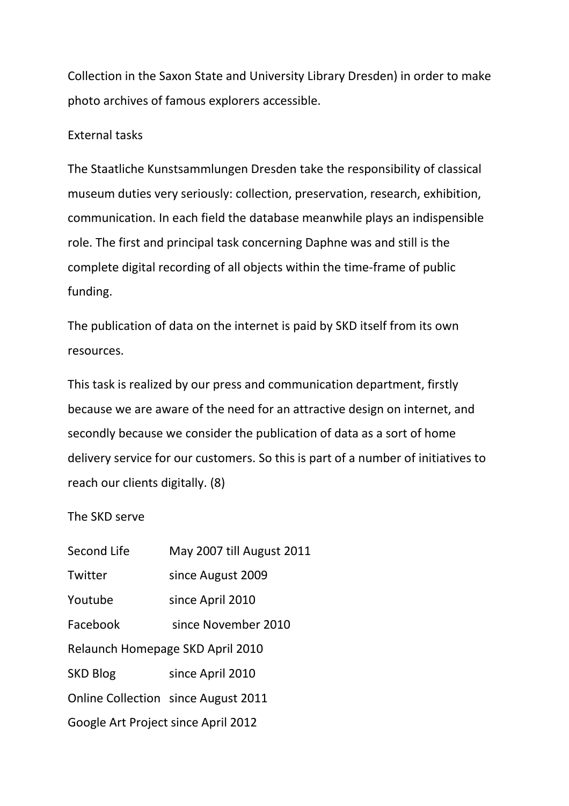Collection in the Saxon State and University Library Dresden) in order to make photo archives of famous explorers accessible.

## External tasks

The Staatliche Kunstsammlungen Dresden take the responsibility of classical museum duties very seriously: collection, preservation, research, exhibition, communication. In each field the database meanwhile plays an indispensible role. The first and principal task concerning Daphne was and still is the complete digital recording of all objects within the time-frame of public funding.

The publication of data on the internet is paid by SKD itself from its own resources.

This task is realized by our press and communication department, firstly because we are aware of the need for an attractive design on internet, and secondly because we consider the publication of data as a sort of home delivery service for our customers. So this is part of a number of initiatives to reach our clients digitally. (8)

## The SKD serve

| Second Life                         | May 2007 till August 2011                  |
|-------------------------------------|--------------------------------------------|
| Twitter                             | since August 2009                          |
| Youtube                             | since April 2010                           |
| Facebook                            | since November 2010                        |
| Relaunch Homepage SKD April 2010    |                                            |
| <b>SKD Blog</b>                     | since April 2010                           |
|                                     | <b>Online Collection since August 2011</b> |
| Google Art Project since April 2012 |                                            |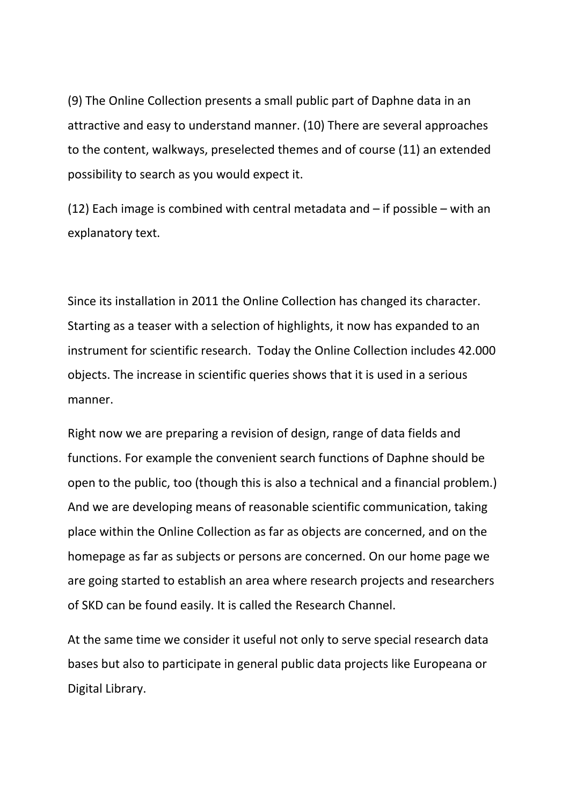(9) The Online Collection presents a small public part of Daphne data in an attractive and easy to understand manner. (10) There are several approaches to the content, walkways, preselected themes and of course (11) an extended possibility to search as you would expect it.

(12) Each image is combined with central metadata and  $-$  if possible  $-$  with an explanatory text.

Since its installation in 2011 the Online Collection has changed its character. Starting as a teaser with a selection of highlights, it now has expanded to an instrument for scientific research. Today the Online Collection includes 42.000 objects. The increase in scientific queries shows that it is used in a serious manner.

Right now we are preparing a revision of design, range of data fields and functions. For example the convenient search functions of Daphne should be open to the public, too (though this is also a technical and a financial problem.) And we are developing means of reasonable scientific communication, taking place within the Online Collection as far as objects are concerned, and on the homepage as far as subjects or persons are concerned. On our home page we are going started to establish an area where research projects and researchers of SKD can be found easily. It is called the Research Channel.

At the same time we consider it useful not only to serve special research data bases but also to participate in general public data projects like Europeana or Digital Library.